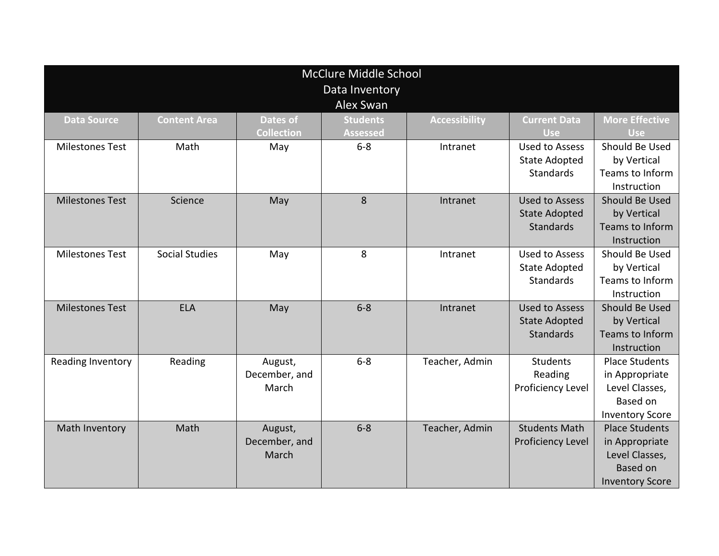| <b>McClure Middle School</b> |                       |                   |                 |                      |                       |                        |  |  |  |  |  |  |
|------------------------------|-----------------------|-------------------|-----------------|----------------------|-----------------------|------------------------|--|--|--|--|--|--|
| Data Inventory               |                       |                   |                 |                      |                       |                        |  |  |  |  |  |  |
| Alex Swan                    |                       |                   |                 |                      |                       |                        |  |  |  |  |  |  |
| <b>Data Source</b>           | <b>Content Area</b>   | Dates of          | <b>Students</b> | <b>Accessibility</b> | <b>Current Data</b>   | <b>More Effective</b>  |  |  |  |  |  |  |
|                              |                       | <b>Collection</b> | <b>Assessed</b> |                      | <b>Use</b>            | <b>Use</b>             |  |  |  |  |  |  |
| <b>Milestones Test</b>       | Math                  | May               | $6-8$           | Intranet             | <b>Used to Assess</b> | Should Be Used         |  |  |  |  |  |  |
|                              |                       |                   |                 |                      | <b>State Adopted</b>  | by Vertical            |  |  |  |  |  |  |
|                              |                       |                   |                 |                      | <b>Standards</b>      | Teams to Inform        |  |  |  |  |  |  |
|                              |                       |                   |                 |                      |                       | Instruction            |  |  |  |  |  |  |
| <b>Milestones Test</b>       | Science               | May               | 8               | Intranet             | <b>Used to Assess</b> | Should Be Used         |  |  |  |  |  |  |
|                              |                       |                   |                 |                      | <b>State Adopted</b>  | by Vertical            |  |  |  |  |  |  |
|                              |                       |                   |                 |                      | <b>Standards</b>      | Teams to Inform        |  |  |  |  |  |  |
|                              |                       |                   |                 |                      |                       | Instruction            |  |  |  |  |  |  |
| <b>Milestones Test</b>       | <b>Social Studies</b> | May               | 8               | Intranet             | <b>Used to Assess</b> | Should Be Used         |  |  |  |  |  |  |
|                              |                       |                   |                 |                      | <b>State Adopted</b>  | by Vertical            |  |  |  |  |  |  |
|                              |                       |                   |                 |                      | <b>Standards</b>      | Teams to Inform        |  |  |  |  |  |  |
|                              |                       |                   |                 |                      |                       | Instruction            |  |  |  |  |  |  |
| <b>Milestones Test</b>       | <b>ELA</b>            | May               | $6 - 8$         | Intranet             | <b>Used to Assess</b> | Should Be Used         |  |  |  |  |  |  |
|                              |                       |                   |                 |                      | <b>State Adopted</b>  | by Vertical            |  |  |  |  |  |  |
|                              |                       |                   |                 |                      | <b>Standards</b>      | Teams to Inform        |  |  |  |  |  |  |
|                              |                       |                   |                 |                      |                       | Instruction            |  |  |  |  |  |  |
| Reading Inventory            | Reading               | August,           | $6 - 8$         | Teacher, Admin       | Students              | <b>Place Students</b>  |  |  |  |  |  |  |
|                              |                       | December, and     |                 |                      | Reading               | in Appropriate         |  |  |  |  |  |  |
|                              |                       | March             |                 |                      | Proficiency Level     | Level Classes,         |  |  |  |  |  |  |
|                              |                       |                   |                 |                      |                       | Based on               |  |  |  |  |  |  |
|                              |                       |                   |                 |                      |                       | <b>Inventory Score</b> |  |  |  |  |  |  |
| Math Inventory               | Math                  | August,           | $6 - 8$         | Teacher, Admin       | <b>Students Math</b>  | <b>Place Students</b>  |  |  |  |  |  |  |
|                              |                       | December, and     |                 |                      | Proficiency Level     | in Appropriate         |  |  |  |  |  |  |
|                              |                       | March             |                 |                      |                       | Level Classes,         |  |  |  |  |  |  |
|                              |                       |                   |                 |                      |                       | <b>Based on</b>        |  |  |  |  |  |  |
|                              |                       |                   |                 |                      |                       | <b>Inventory Score</b> |  |  |  |  |  |  |